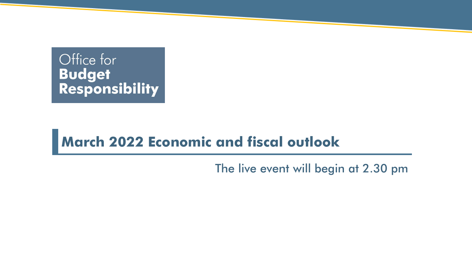# Office for **Budget<br>Responsibility**

### **March 2022 Economic and fiscal outlook**

The live event will begin at 2.30 pm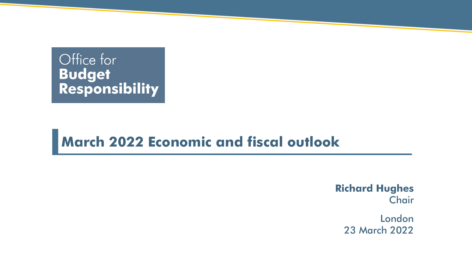# Office for Budget<br>Responsibility

### **March 2022 Economic and fiscal outlook**

**Richard Hughes Chair** 

> London 23 March 2022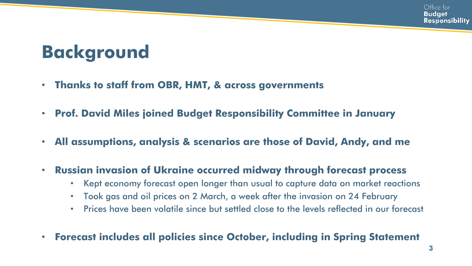# **Background**

- **Thanks to staff from OBR, HMT, & across governments**
- **Prof. David Miles joined Budget Responsibility Committee in January**
- **All assumptions, analysis & scenarios are those of David, Andy, and me**
- **Russian invasion of Ukraine occurred midway through forecast process** 
	- Kept economy forecast open longer than usual to capture data on market reactions
	- Took gas and oil prices on 2 March, a week after the invasion on 24 February
	- Prices have been volatile since but settled close to the levels reflected in our forecast
- **Forecast includes all policies since October, including in Spring Statement**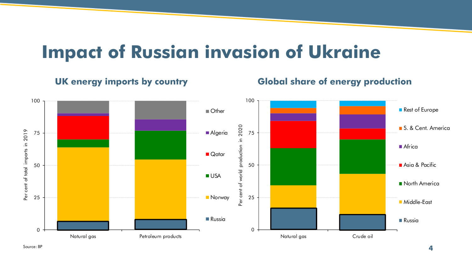### **Impact of Russian invasion of Ukraine**

#### **UK energy imports by country Global share of energy production**



Source: BP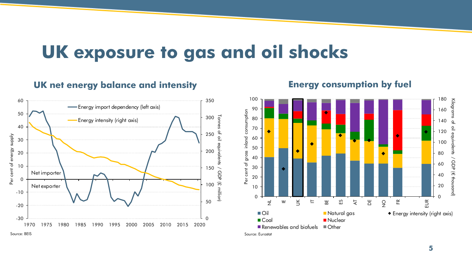### **UK exposure to gas and oil shocks**

#### **UK net energy balance and intensity**



#### **Energy consumption by fuel**



Source: Eurostat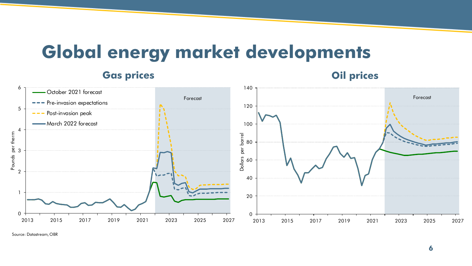### **Global energy market developments**

**Gas prices Oil prices** 0 60<br>40<br>20 80<br>60<br>40 00<br>80<br>60 20<br>00<br>80 100 120 140 <sup>2013</sup> <sup>2015</sup> <sup>2017</sup> <sup>2019</sup> <sup>2021</sup> <sup>2023</sup> <sup>2025</sup> <sup>2027</sup> Dollars per barrel Forecast 0 1 2 3 4 5 6  $\begin{array}{|c|c|c|c|}\n\hline\n\text{2013} & \text{2015} & \text{2017} & \text{2019} & \text{2021} & \text{2023} & \text{2025} & \text{2027} \\
\hline\n\text{2013} & \text{2015} & \text{2017} & \text{2019} & \text{2021} & \text{2023} & \text{2025} & \text{2027} \\
\hline\n\end{array}$ October 2021 forecast Pre-invasion expectations Post-invasion peak March 2022 forecast Forecast

Source: Datastream, OBR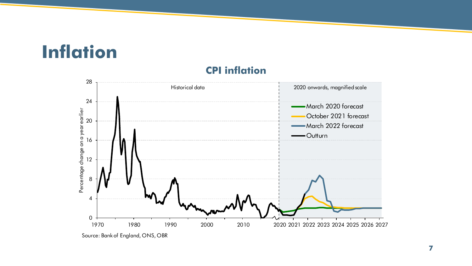# **Inflation**



#### **CPI inflation**

Source: Bank of England, ONS, OBR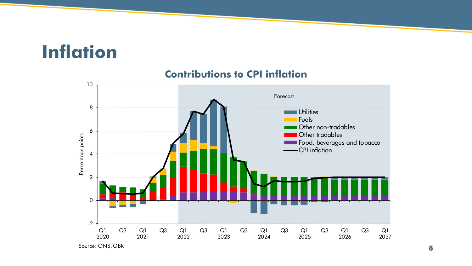# **Inflation**



#### **Contributions to CPI inflation**

Source: ONS, OBR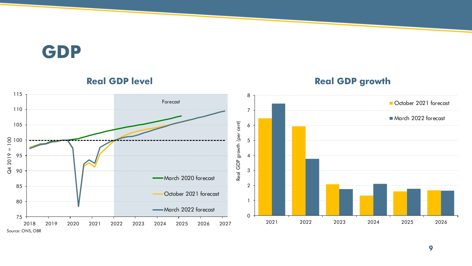### **GDP**



#### **Real GDP level and SUP development of the CREAT Real GDP growth**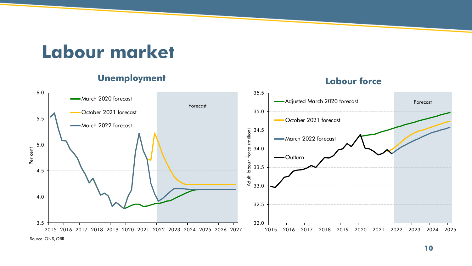### **Labour market**

#### **Unemployment Labour force**

#### 32.0 32.5 33.0 33.5 34.0 34.5 35.0 35.5 2015 2016 2017 2018 2019 2020 2021 2022 2023 2024 2025 Adult labour force (million) Adjusted March 2020 forecast October 2021 forecast March 2022 forecast -Outturn Forecast 3.5 4.0 4.5 5.0 5.5 6.0 2015 2016 2017 2018 2019 2020 2021 2022 2023 2024 2025 2026 2027 Per cent -March 2020 forecast October 2021 forecast March 2022 forecast Forecast

Source: ONS, OBR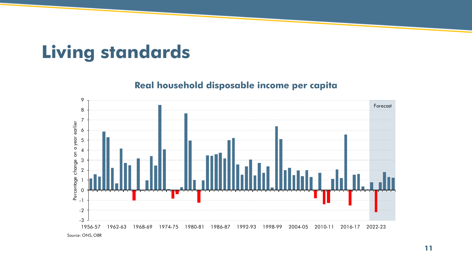# **Living standards**

#### **Real household disposable income per capita**

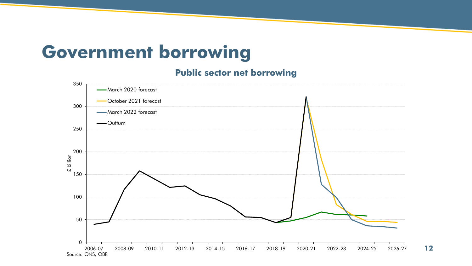### **Government borrowing**

#### **Public sector net borrowing**

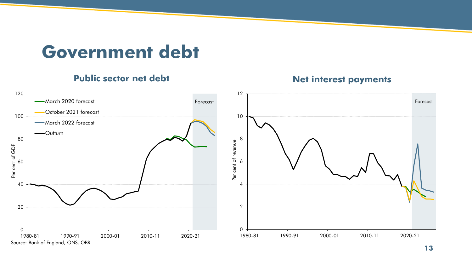### **Government debt**

#### **Public sector net debt Net interest payments**

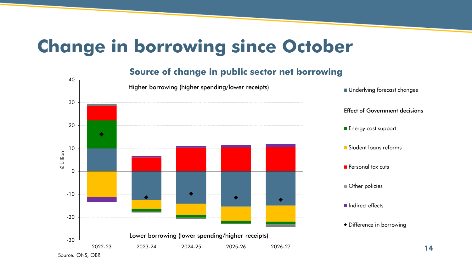# **Change in borrowing since October**

#### **Source of change in public sector net borrowing**

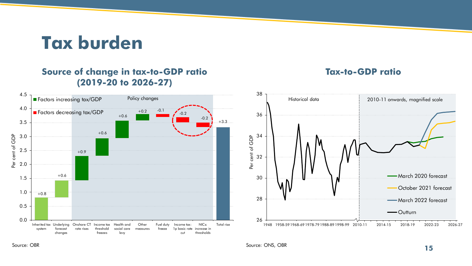**Tax burden**

#### **Source of change in tax-to-GDP ratio Tax-to-GDP ratio (2019-20 to 2026-27)**





Source: OBR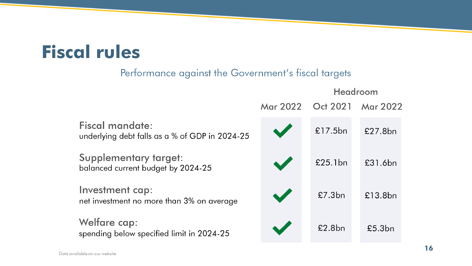# **Fiscal rules**

### Performance against the Government's fiscal targets

|                                                                          |                 | Headroom |                 |  |
|--------------------------------------------------------------------------|-----------------|----------|-----------------|--|
|                                                                          | <b>Mar 2022</b> | Oct 2021 | <b>Mar 2022</b> |  |
| <b>Fiscal mandate:</b><br>underlying debt falls as a % of GDP in 2024-25 |                 | £17.5bn  | £27.8bn         |  |
| <b>Supplementary target:</b><br>balanced current budget by 2024-25       | $\sqrt{2}$      | £25.1bn  | £31.6bn         |  |
| Investment cap:<br>net investment no more than 3% on average             |                 | £7.3bn   | £13.8bn         |  |
| <b>Welfare cap:</b><br>spending below specified limit in 2024-25         |                 | £2.8bn   | £5.3bn          |  |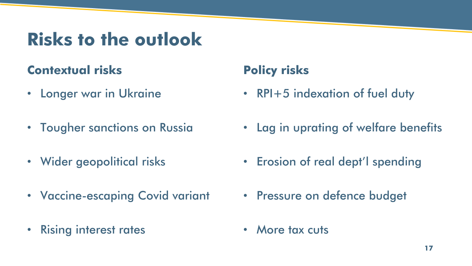## **Risks to the outlook**

### **Contextual risks**

- Longer war in Ukraine
- Tougher sanctions on Russia
- Wider geopolitical risks
- Vaccine-escaping Covid variant
- Rising interest rates

### **Policy risks**

- RPI+5 indexation of fuel duty
- Lag in uprating of welfare benefits
- Erosion of real dept'l spending
- Pressure on defence budget
- More tax cuts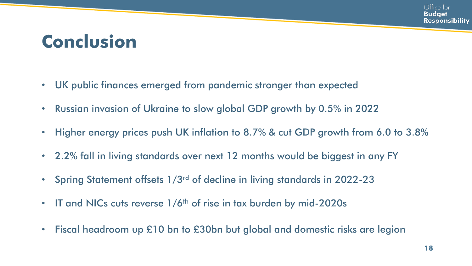# **Conclusion**

- UK public finances emerged from pandemic stronger than expected
- Russian invasion of Ukraine to slow global GDP growth by 0.5% in 2022
- Higher energy prices push UK inflation to 8.7% & cut GDP growth from 6.0 to 3.8%
- 2.2% fall in living standards over next 12 months would be biggest in any FY
- Spring Statement offsets 1/3rd of decline in living standards in 2022-23
- IT and NICs cuts reverse  $1/6$ <sup>th</sup> of rise in tax burden by mid-2020s
- Fiscal headroom up £10 bn to £30bn but global and domestic risks are legion